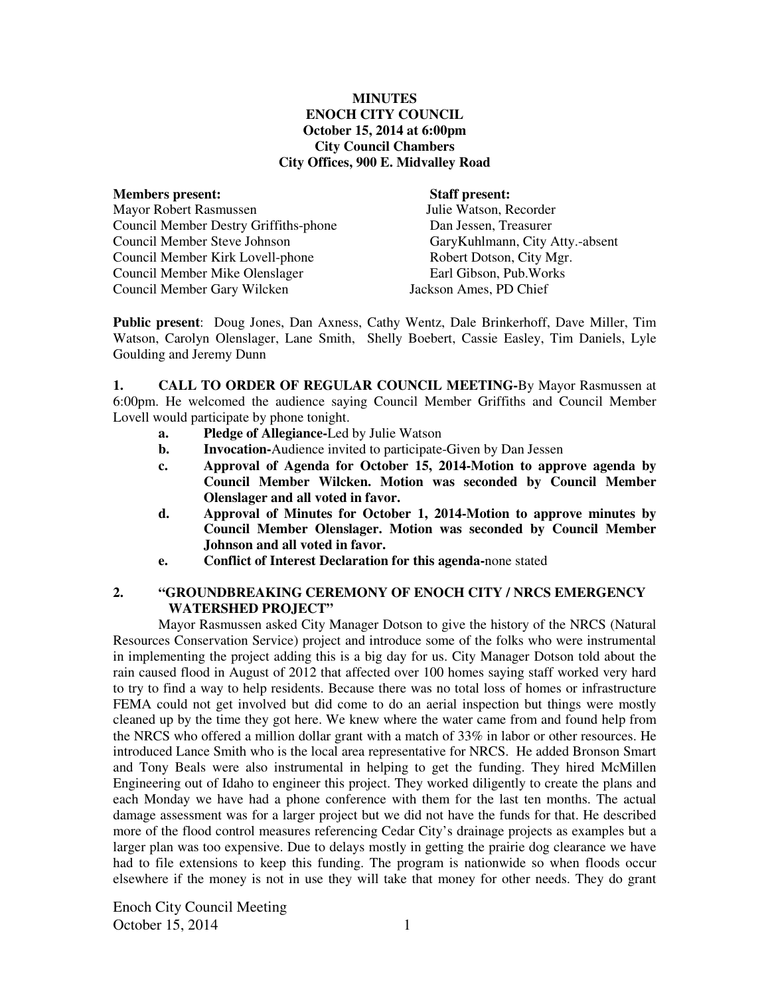#### **MINUTES ENOCH CITY COUNCIL October 15, 2014 at 6:00pm City Council Chambers City Offices, 900 E. Midvalley Road**

**Members present: Staff present: Staff present: Mayor Robert Rasmussen** Mayor Robert Rasmussen Council Member Destry Griffiths-phone Dan Jessen, Treasurer<br>
Council Member Steve Johnson GaryKuhlmann, City / Council Member Kirk Lovell-phone Robert Dotson, City Mgr. Council Member Mike Olenslager Earl Gibson, Pub.Works Council Member Gary Wilcken Jackson Ames, PD Chief

GaryKuhlmann, City Atty.-absent

**Public present**: Doug Jones, Dan Axness, Cathy Wentz, Dale Brinkerhoff, Dave Miller, Tim Watson, Carolyn Olenslager, Lane Smith, Shelly Boebert, Cassie Easley, Tim Daniels, Lyle Goulding and Jeremy Dunn

**1. CALL TO ORDER OF REGULAR COUNCIL MEETING-**By Mayor Rasmussen at 6:00pm. He welcomed the audience saying Council Member Griffiths and Council Member Lovell would participate by phone tonight.

- **a. Pledge of Allegiance-**Led by Julie Watson
- **b.** Invocation-Audience invited to participate-Given by Dan Jessen
- **c. Approval of Agenda for October 15, 2014-Motion to approve agenda by Council Member Wilcken. Motion was seconded by Council Member Olenslager and all voted in favor.**
- **d. Approval of Minutes for October 1, 2014-Motion to approve minutes by Council Member Olenslager. Motion was seconded by Council Member Johnson and all voted in favor.**
- **e. Conflict of Interest Declaration for this agenda-**none stated

#### **2. "GROUNDBREAKING CEREMONY OF ENOCH CITY / NRCS EMERGENCY WATERSHED PROJECT"**

Mayor Rasmussen asked City Manager Dotson to give the history of the NRCS (Natural Resources Conservation Service) project and introduce some of the folks who were instrumental in implementing the project adding this is a big day for us. City Manager Dotson told about the rain caused flood in August of 2012 that affected over 100 homes saying staff worked very hard to try to find a way to help residents. Because there was no total loss of homes or infrastructure FEMA could not get involved but did come to do an aerial inspection but things were mostly cleaned up by the time they got here. We knew where the water came from and found help from the NRCS who offered a million dollar grant with a match of 33% in labor or other resources. He introduced Lance Smith who is the local area representative for NRCS. He added Bronson Smart and Tony Beals were also instrumental in helping to get the funding. They hired McMillen Engineering out of Idaho to engineer this project. They worked diligently to create the plans and each Monday we have had a phone conference with them for the last ten months. The actual damage assessment was for a larger project but we did not have the funds for that. He described more of the flood control measures referencing Cedar City's drainage projects as examples but a larger plan was too expensive. Due to delays mostly in getting the prairie dog clearance we have had to file extensions to keep this funding. The program is nationwide so when floods occur elsewhere if the money is not in use they will take that money for other needs. They do grant

Enoch City Council Meeting October 15, 2014 1